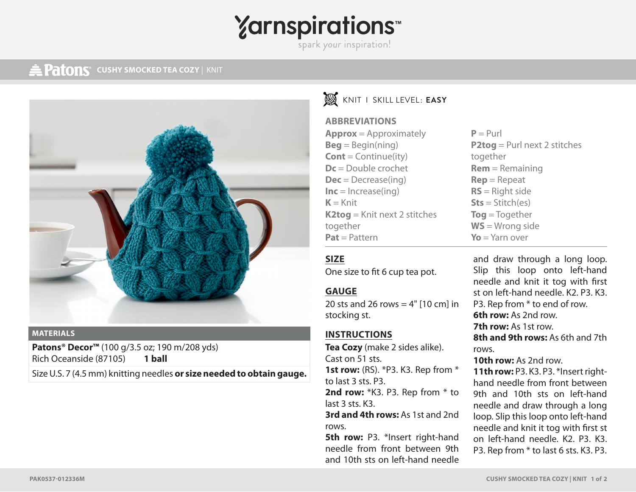# **Yarnspirations**

spark your inspiration!

### **CUSHY SMOCKED TEA COZY | KNIT**



#### **MATERIALS**

**Patons® Decor™** (100 g/3.5 oz; 190 m/208 yds) Rich Oceanside (87105) **1 ball**

Size U.S. 7 (4.5 mm) knitting needles **or size needed to obtain gauge.**

## KNIT I SKILL LEVEL: **EASY**

#### **ABBREVIATIONS**

| $Approx = Approximately$       |
|--------------------------------|
| $Beg = Begin(ning)$            |
| $Cont = Continue (ity)$        |
| $Dc = Double crochet$          |
| $Dec = Decrease(ing)$          |
| $Inc = Increase(ing)$          |
| $K =$ Knit                     |
| $K2tog = Knit next 2 stitches$ |
| together                       |
| $Pat = Pattern$                |

 $P = Purl$ **P2tog** = Purl next 2 stitches together **Rem** = Remaining **Rep** = Repeat **RS** = Right side **Sts** = Stitch(es) **Tog** = Together **WS** = Wrong side **Yo** = Yarn over

#### **SIZE**

One size to fit 6 cup tea pot.

#### **GAUGE**

20 sts and 26 rows  $=$  4" [10 cm] in stocking st.

#### **INSTRUCTIONS**

**Tea Cozy** (make 2 sides alike). Cast on 51 sts. **1st row:** (RS). \*P3. K3. Rep from \*

to last 3 sts. P3.

2nd row: \*K3. P3. Rep from \* to last 3 sts. K3.

**3rd and 4th rows:** As 1st and 2nd rows.

**5th row: P3. \*Insert right-hand** needle from front between 9th and 10th sts on left-hand needle and draw through a long loop. Slip this loop onto left-hand needle and knit it tog with first st on left-hand needle. K2. P3. K3. P3. Rep from \* to end of row. **6th row:** As 2nd row. **7th row:** As 1st row. **8th and 9th rows:** As 6th and 7th rows.

**10th row:** As 2nd row.

**11th row:** P3. K3. P3. \*Insert righthand needle from front between 9th and 10th sts on left-hand needle and draw through a long loop. Slip this loop onto left-hand needle and knit it tog with first st on left-hand needle. K2. P3. K3. P3. Rep from \* to last 6 sts. K3. P3.